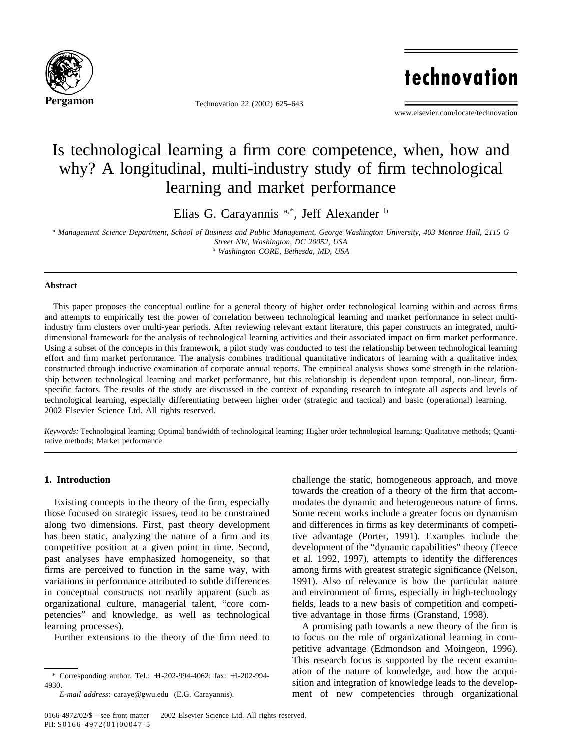

Technovation 22 (2002) 625–643

technovation

www.elsevier.com/locate/technovation

# Is technological learning a firm core competence, when, how and why? A longitudinal, multi-industry study of firm technological learning and market performance

Elias G. Carayannis  $a^*$ , Jeff Alexander  $b$ 

<sup>a</sup> *Management Science Department, School of Business and Public Management, George Washington University, 403 Monroe Hall, 2115 G Street NW, Washington, DC 20052, USA*

<sup>b</sup> *Washington CORE, Bethesda, MD, USA*

#### **Abstract**

This paper proposes the conceptual outline for a general theory of higher order technological learning within and across firms and attempts to empirically test the power of correlation between technological learning and market performance in select multiindustry firm clusters over multi-year periods. After reviewing relevant extant literature, this paper constructs an integrated, multidimensional framework for the analysis of technological learning activities and their associated impact on firm market performance. Using a subset of the concepts in this framework, a pilot study was conducted to test the relationship between technological learning effort and firm market performance. The analysis combines traditional quantitative indicators of learning with a qualitative index constructed through inductive examination of corporate annual reports. The empirical analysis shows some strength in the relationship between technological learning and market performance, but this relationship is dependent upon temporal, non-linear, firmspecific factors. The results of the study are discussed in the context of expanding research to integrate all aspects and levels of technological learning, especially differentiating between higher order (strategic and tactical) and basic (operational) learning. 2002 Elsevier Science Ltd. All rights reserved.

*Keywords:* Technological learning; Optimal bandwidth of technological learning; Higher order technological learning; Qualitative methods; Quantitative methods; Market performance

## **1. Introduction**

Existing concepts in the theory of the firm, especially those focused on strategic issues, tend to be constrained along two dimensions. First, past theory development has been static, analyzing the nature of a firm and its competitive position at a given point in time. Second, past analyses have emphasized homogeneity, so that firms are perceived to function in the same way, with variations in performance attributed to subtle differences in conceptual constructs not readily apparent (such as organizational culture, managerial talent, "core competencies" and knowledge, as well as technological learning processes).

Further extensions to the theory of the firm need to

challenge the static, homogeneous approach, and move towards the creation of a theory of the firm that accommodates the dynamic and heterogeneous nature of firms. Some recent works include a greater focus on dynamism and differences in firms as key determinants of competitive advantage (Porter, 1991). Examples include the development of the "dynamic capabilities" theory (Teece et al. 1992, 1997), attempts to identify the differences among firms with greatest strategic significance (Nelson, 1991). Also of relevance is how the particular nature and environment of firms, especially in high-technology fields, leads to a new basis of competition and competitive advantage in those firms (Granstand, 1998).

A promising path towards a new theory of the firm is to focus on the role of organizational learning in competitive advantage (Edmondson and Moingeon, 1996). This research focus is supported by the recent examination of the nature of knowledge, and how the acquisition and integration of knowledge leads to the development of new competencies through organizational

<sup>\*</sup> Corresponding author. Tel.: +1-202-994-4062; fax: +1-202-994- 4930.

*E-mail address:* caraye@gwu.edu (E.G. Carayannis).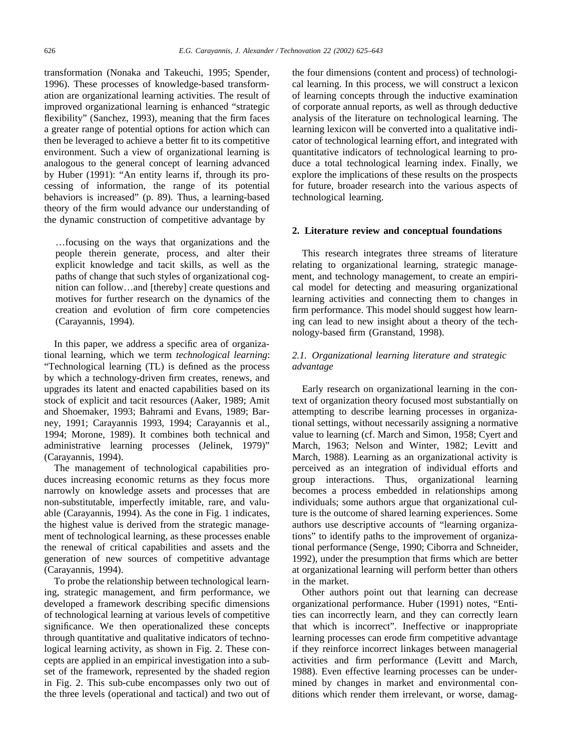transformation (Nonaka and Takeuchi, 1995; Spender, 1996). These processes of knowledge-based transformation are organizational learning activities. The result of improved organizational learning is enhanced "strategic flexibility" (Sanchez, 1993), meaning that the firm faces a greater range of potential options for action which can then be leveraged to achieve a better fit to its competitive environment. Such a view of organizational learning is analogous to the general concept of learning advanced by Huber (1991): "An entity learns if, through its processing of information, the range of its potential behaviors is increased" (p. 89). Thus, a learning-based theory of the firm would advance our understanding of the dynamic construction of competitive advantage by

…focusing on the ways that organizations and the people therein generate, process, and alter their explicit knowledge and tacit skills, as well as the paths of change that such styles of organizational cognition can follow…and [thereby] create questions and motives for further research on the dynamics of the creation and evolution of firm core competencies (Carayannis, 1994).

In this paper, we address a specific area of organizational learning, which we term *technological learning*: "Technological learning (TL) is defined as the process by which a technology-driven firm creates, renews, and upgrades its latent and enacted capabilities based on its stock of explicit and tacit resources (Aaker, 1989; Amit and Shoemaker, 1993; Bahrami and Evans, 1989; Barney, 1991; Carayannis 1993, 1994; Carayannis et al., 1994; Morone, 1989). It combines both technical and administrative learning processes (Jelinek, 1979)" (Carayannis, 1994).

The management of technological capabilities produces increasing economic returns as they focus more narrowly on knowledge assets and processes that are non-substitutable, imperfectly imitable, rare, and valuable (Carayannis, 1994). As the cone in Fig. 1 indicates, the highest value is derived from the strategic management of technological learning, as these processes enable the renewal of critical capabilities and assets and the generation of new sources of competitive advantage (Carayannis, 1994).

To probe the relationship between technological learning, strategic management, and firm performance, we developed a framework describing specific dimensions of technological learning at various levels of competitive significance. We then operationalized these concepts through quantitative and qualitative indicators of technological learning activity, as shown in Fig. 2. These concepts are applied in an empirical investigation into a subset of the framework, represented by the shaded region in Fig. 2. This sub-cube encompasses only two out of the three levels (operational and tactical) and two out of the four dimensions (content and process) of technological learning. In this process, we will construct a lexicon of learning concepts through the inductive examination of corporate annual reports, as well as through deductive analysis of the literature on technological learning. The learning lexicon will be converted into a qualitative indicator of technological learning effort, and integrated with quantitative indicators of technological learning to produce a total technological learning index. Finally, we explore the implications of these results on the prospects for future, broader research into the various aspects of technological learning.

### **2. Literature review and conceptual foundations**

This research integrates three streams of literature relating to organizational learning, strategic management, and technology management, to create an empirical model for detecting and measuring organizational learning activities and connecting them to changes in firm performance. This model should suggest how learning can lead to new insight about a theory of the technology-based firm (Granstand, 1998).

### *2.1. Organizational learning literature and strategic advantage*

Early research on organizational learning in the context of organization theory focused most substantially on attempting to describe learning processes in organizational settings, without necessarily assigning a normative value to learning (cf. March and Simon, 1958; Cyert and March, 1963; Nelson and Winter, 1982; Levitt and March, 1988). Learning as an organizational activity is perceived as an integration of individual efforts and group interactions. Thus, organizational learning becomes a process embedded in relationships among individuals; some authors argue that organizational culture is the outcome of shared learning experiences. Some authors use descriptive accounts of "learning organizations" to identify paths to the improvement of organizational performance (Senge, 1990; Ciborra and Schneider, 1992), under the presumption that firms which are better at organizational learning will perform better than others in the market.

Other authors point out that learning can decrease organizational performance. Huber (1991) notes, "Entities can incorrectly learn, and they can correctly learn that which is incorrect". Ineffective or inappropriate learning processes can erode firm competitive advantage if they reinforce incorrect linkages between managerial activities and firm performance (Levitt and March, 1988). Even effective learning processes can be undermined by changes in market and environmental conditions which render them irrelevant, or worse, damag-